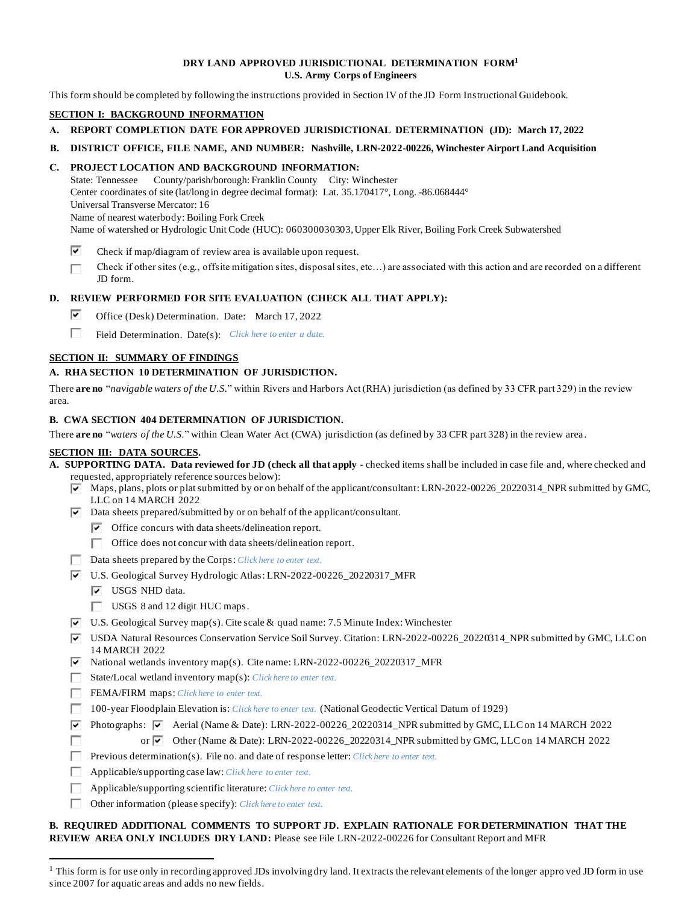## **DRY LAND APPROVED JURISDICTIONAL DETERMINATION FORM<sup>1</sup> U.S. Army Corps of Engineers**

This form should be completed by following the instructions provided in Section IV of the JD Form Instructional Guidebook.

#### **SECTION I: BACKGROUND INFORMATION**

- **A. REPORT COMPLETION DATE FOR APPROVED JURISDICTIONAL DETERMINATION (JD): March 17, 2022**
- **B. DISTRICT OFFICE, FILE NAME, AND NUMBER: Nashville, LRN-2022-00226, Winchester Airport Land Acquisition**

## **C. PROJECT LOCATION AND BACKGROUND INFORMATION:**

State: Tennessee County/parish/borough: Franklin County City: Winchester Center coordinates of site (lat/long in degree decimal format): Lat. 35.170417°, Long. -86.068444° Universal Transverse Mercator: 16 Name of nearest waterbody: Boiling Fork Creek Name of watershed or Hydrologic Unit Code (HUC): 060300030303, Upper Elk River, Boiling Fork Creek Subwatershed

- ⊽ Check if map/diagram of review area is available upon request.
- П Check if other sites (e.g., offsite mitigation sites, disposal sites, etc…) are associated with this action and are recorded on a different JD form.

## **D. REVIEW PERFORMED FOR SITE EVALUATION (CHECK ALL THAT APPLY):**

- ⊽⊹ Office (Desk) Determination. Date: March 17, 2022
- П. Field Determination. Date(s): *Click here to enter a date.*

## **SECTION II: SUMMARY OF FINDINGS**

## **A. RHA SECTION 10 DETERMINATION OF JURISDICTION.**

There **are no** "*navigable waters of the U.S.*" within Rivers and Harbors Act (RHA) jurisdiction (as defined by 33 CFR part 329) in the review area.

# **B. CWA SECTION 404 DETERMINATION OF JURISDICTION.**

There **are no** "*waters of the U.S.*" within Clean Water Act (CWA) jurisdiction (as defined by 33 CFR part 328) in the review area .

#### **SECTION III: DATA SOURCES.**

- **A. SUPPORTING DATA. Data reviewed for JD (check all that apply -** checked items shall be included in case file and, where checked and requested, appropriately reference sources below):
	- $\overline{\blacktriangledown}$  Maps, plans, plots or plat submitted by or on behalf of the applicant/consultant: LRN-2022-00226\_20220314\_NPR submitted by GMC, LLC on 14 MARCH 2022
	- $\overline{\triangledown}$  Data sheets prepared/submitted by or on behalf of the applicant/consultant.
		- $\triangledown$  Office concurs with data sheets/delineation report.
		- $\Box$  Office does not concur with data sheets/delineation report.
	- Data sheets prepared by the Corps: *Click here to enter text*.
	- U.S. Geological Survey Hydrologic Atlas: LRN-2022-00226\_20220317\_MFR
		- $\boxed{\triangledown}$  USGS NHD data.
		- $\Box$  USGS 8 and 12 digit HUC maps.
	- $\overline{V}$  U.S. Geological Survey map(s). Cite scale & quad name: 7.5 Minute Index: Winchester
	- USDA Natural Resources Conservation Service Soil Survey. Citation: LRN-2022-00226\_20220314\_NPR submitted by GMC, LLC on 14 MARCH 2022
	- $\overline{\triangledown}$  National wetlands inventory map(s). Cite name: LRN-2022-00226 20220317 MFR
	- State/Local wetland inventory map(s): *Click here to enter text.*
	- FEMA/FIRM maps: *Click here to enter text*.
	- 100-year Floodplain Elevation is: *Click here to enter text.* (National Geodectic Vertical Datum of 1929)
	- Photographs:  $\overline{P}$  Aerial (Name & Date): LRN-2022-00226\_20220314\_NPR submitted by GMC, LLC on 14 MARCH 2022 п or Other (Name & Date): LRN-2022-00226\_20220314\_NPR submitted by GMC, LLC on 14 MARCH 2022
	- Previous determination(s). File no. and date of response letter: *Click here to enter text.*
	- Applicable/supporting case law: *Click here to enter text.*
	- Applicable/supporting scientific literature: *Click here to enter text.*
	- Other information (please specify): *Click here to enter text.*

# **B. REQUIRED ADDITIONAL COMMENTS TO SUPPORT JD. EXPLAIN RATIONALE FOR DETERMINATION THAT THE REVIEW AREA ONLY INCLUDES DRY LAND:** Please see File LRN-2022-00226 for Consultant Report and MFR

 $<sup>1</sup>$  This form is for use only in recording approved JDs involving dry land. It extracts the relevant elements of the longer appro ved JD form in use</sup> since 2007 for aquatic areas and adds no new fields.